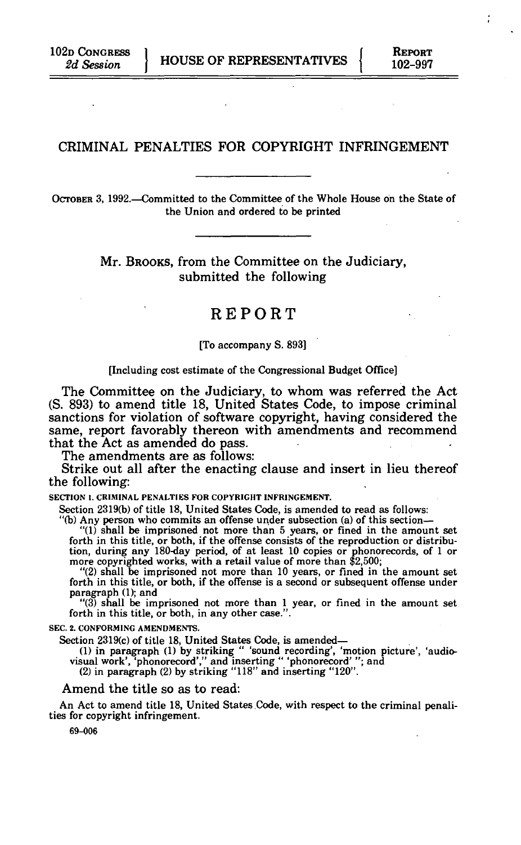# CRIMINAL PENALTIES FOR COPYRIGHT INFRINGEMENT

OCTOBER 3, 1992.—Committed to the Committee of the Whole House on the State of the Union and ordered to be printed

> Mr. BROOKS, from the Committee on the Judiciary, submitted the following

# REPORT

[To accompany S. 893]

#### [Including cost estimate of the Congressional Budget Office]

The Committee on the Judiciary, to whom was referred the Act (S. 893) to amend title 18, United States Code, to impose criminal sanctions for violation of software copyright, having considered the same, report favorably thereon with amendments and recommend that the Act as amended do pass.

The amendments are as follows:

Strike out all after the enacting clause and insert in lieu thereof the following:

**SECTION 1. CRIMINAL PENALTIES FOR COPYRIGHT INFRINGEMENT.** 

Section 2319(b) of title 18, United States Code, is amended to read as follows:

"(b) Any person who commits an offense under subsection (a) of this section—

"(1) shall be imprisoned not more than 5 years, or fined in the amount set forth in this title, or both, if the offense consists of the reproduction or distribution, during any 180-day period, of at least 10 copies or pho

"(2) shall be imprisoned not more than 10 years, or fined in the amount set forth in this title, or both, if the offense is a second or subsequent offense under paragraph (1); and

"(3) shall be imprisoned not more than 1 year, or fined in the amount set forth in this title, or both, in any other case.".

**SEC. 2. CONFORMING AMENDMENTS.** 

Section 2319(c) of title 18, United States Code, is amended—<br>(1) in paragraph (1) by striking " 'sound recording', 'motion picture', 'audio-<br>visual work', 'phonorecord','' and inserting " 'phonorecord' ''; and

(2) in paragraph (2) by striking "118" and inserting "120".

#### Amend the title so as to read:

An Act to amend title 18, United States Code, with respect to the criminal penalities for copyright infringement.

69-006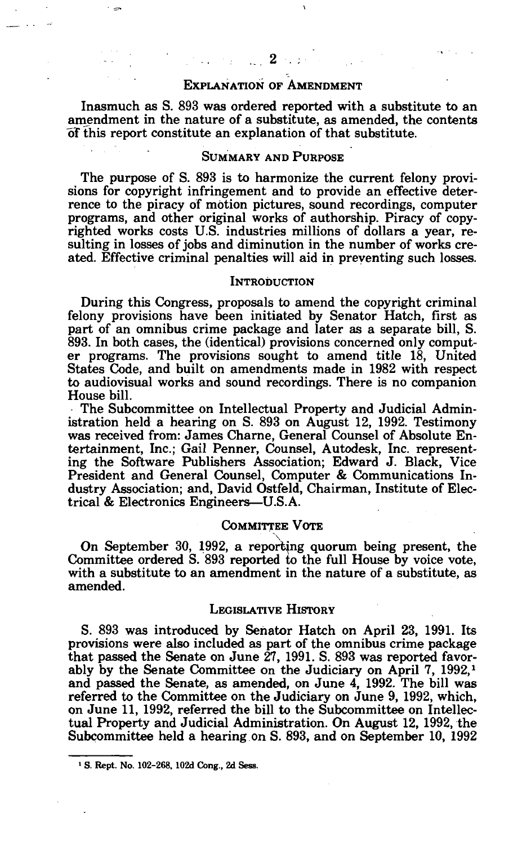# EXPLANATION OF AMENDMENT

Inasmuch as S. 893 was ordered reported with a substitute to an amendment in the nature of a substitute, as amended, the contents oT this report constitute an explanation of that substitute.

# SUMMARY AND PURPOSE

The purpose of S. 893 is to harmonize the current felony provisions for copyright infringement and to provide an effective deterrence to the piracy of motion pictures, sound recordings, computer programs, and other original works of authorship. Piracy of copyrighted works costs U.S. industries millions of dollars a year, resulting in losses of jobs and diminution in the number of works created. Effective criminal penalties will aid in preventing such losses.

#### **INTRODUCTION**

During this Congress, proposals to amend the copyright criminal felony provisions have been initiated by Senator Hatch, first as part of an omnibus crime package and later as a separate bill, S. 893. In both cases, the (identical) provisions concerned only computer programs. The provisions sought to amend title 18, United States Code, and built on amendments made in 1982 with respect to audiovisual works and sound recordings. There is no companion House bill.

The Subcommittee on Intellectual Property and Judicial Administration held a hearing on S. 893 on August 12, 1992. Testimony was received from: James Charne, General Counsel of Absolute Entertainment, Inc.; Gail Penner, Counsel, Autodesk, Inc. representing the Software Publishers Association; Edward J. Black, Vice President and General Counsel, Computer & Communications Industry Association; and, David Ostfeld, Chairman, Institute of Electrical & Electronics Engineers—U.S.A.

### COMMITTEE VOTE

On September 30, 1992, a reporting quorum being present, the Committee ordered S. 893 reported to the full House by voice vote, with a substitute to an amendment in the nature of a substitute, as amended.

### LEGISLATIVE HISTORY

S. 893 was introduced by Senator Hatch on April 23, 1991. Its provisions were also included as part of the omnibus crime package that passed the Senate on June 27, 1991. S. 893 was reported favorably by the Senate Committee on the Judiciary on April 7, 1992,<sup>1</sup> and passed the Senate, as amended, on June 4, 1992. The bill was referred to the Committee on the Judiciary on June 9, 1992, which, on June 11, 1992, referred the bill to the Subcommittee on Intellectual Property and Judicial Administration. On August 12, 1992, the Subcommittee held a hearing on S. 893, and on September 10, 1992

 $\mathbf{v}$ 

**<sup>1</sup> S. Rept. No. 102-268. 102d Cong., 2d Sess.**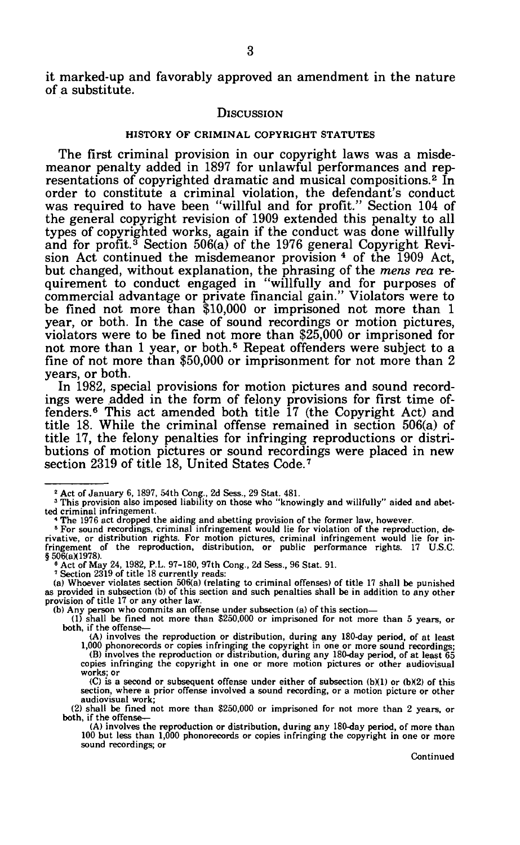it marked-up and favorably approved an amendment in the nature of a substitute.

#### **DISCUSSION**

#### HISTORY OF CRIMINAL COPYRIGHT STATUTES

The first criminal provision in our copyright laws was a misdemeanor penalty added in 1897 for unlawful performances and representations of copyrighted dramatic and musical compositions.<sup>2</sup> In order to constitute a criminal violation, the defendant's conduct was required to have been "willful and for profit." Section 104 of the general copyright revision of 1909 extended this penalty to all types of copyrighted works, again if the conduct was done willfully and for profit.<sup>3</sup> Section 506(a) of the 1976 general Copyright Revi- $\frac{1}{2}$  and for profit: Section  $\frac{1}{2}$  of the 1909 act, sion Act continued the misdemeanor provision  $\frac{4}{3}$  of the 1909 Act, but changed, without explanation, the phrasing of the *mens rea* requirement to conduct engaged in "willfully and for purposes of commercial advantage or private financial gain." Violators were to be fined not more than \$10,000 or imprisoned not more than 1 year, or both. In the case of sound recordings or motion pictures, violators were to be fined not more than \$25,000 or imprisoned for violators were to be fined not more than \$20,000 or imprisoned for<br>not more than 1 year, or both.<sup>5</sup> Repeat offenders were subject to a fine of not more than \$50,000 or imprisonment for not more than 2 years, or both.

In 1982, special provisions for motion pictures and sound recordings were added in the form of felony provisions for first time of-fenders.<sup>6</sup> This act amended both title 17 (the Copyright Act) and title 18. While the criminal offense remained in section 506(a) of title 17, the felony penalties for infringing reproductions or distributions of motion pictures or sound recordings were placed in new section 2319 of title 18, United States Code.<sup>7</sup>

<sup>&</sup>lt;sup>2</sup> Act of January 6, 1897, 54th Cong., 2d Sess., 29 Stat. 481.<br><sup>3</sup> This provision also imposed liability on those who "knowingly and willfully" aided and abetted criminal infringement.

<sup>&</sup>lt;sup>4</sup> The 1976 act dropped the aiding and abetting provision of the former law, however.<br><sup>5</sup> For sound recordings, criminal infringement would lie for violation of the reproduction, derivative, or distribution rights. For motion pictures, criminal infringement would lie for in-fringement of the reproduction, distribution, or public performance rights. 17 U.S.C.  $§506(a)(1978).$ 

<sup>&</sup>lt;sup>6</sup> Act of May 24, 1982, P.L. 97-180, 97th Cong., 2d Sess., 96 Stat. 91.<br><sup>7</sup> Section 2319 of title 18 currently reads:

<sup>(</sup>a) Whoever violates section 506(a) (relating to criminal offenses) of title 17 shall be punished as provided in subsection (b) of this section and such penalties shall be in addition to any other provision of title 17 or any other law.

<sup>(</sup>b) Any person who commits an offense under subsection (a) of this section— (1) shall be fined not more than \$250,000 or imprisoned for not more than 5 years, or both, if the offense—

<sup>(</sup>A) involves the reproduction or distribution, during any 180-day period, of at least 1,000 phonorecords or copies infringing the copyright in one or more sound recordings; (B) involves the reproduction or distribution, during any 180-day period, of at least 65 copies infringing the copyright in one or more motion pictures or other audiovisual

works; or (C) is a second or subsequent offense under either of subsection  $(b)(1)$  or  $(b)(2)$  of this section, where a prior offense involved a sound recording, or a motion picture or other audiovisual work;

<sup>(2)</sup> shall be fined not more than \$250,000 or imprisoned for not more than 2 years, or both, if the offense—

<sup>(</sup>A) involves the reproduction or distribution, during any 180-day period, of more than 100 but less than 1,000 phonorecords or copies infringing the copyright in one or more sound recordings; or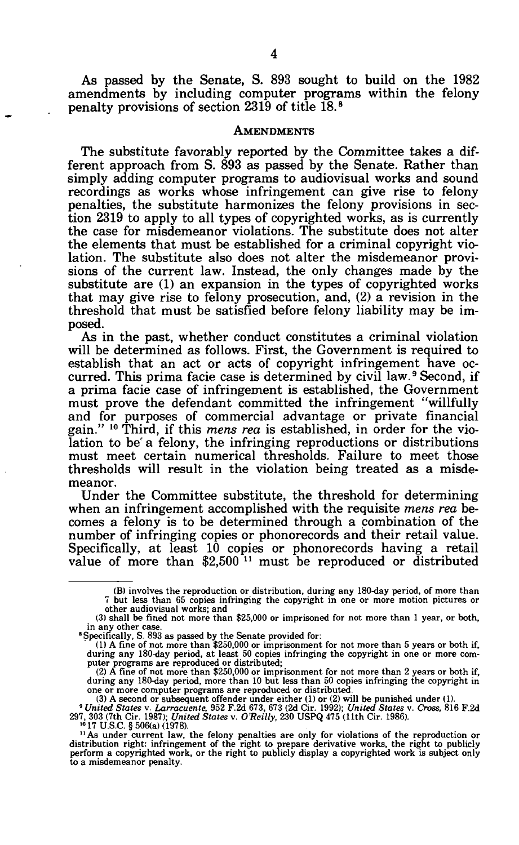As passed by the Senate, S. 893 sought to build on the 1982 amendments by including computer programs within the felony penalty provisions of section 2319 of title 18.<sup>8</sup>

#### **AMENDMENTS**

The substitute favorably reported by the Committee takes a different approach from S. 893 as passed by the Senate. Rather than simply adding computer programs to audiovisual works and sound recordings as works whose infringement can give rise to felony penalties, the substitute harmonizes the felony provisions in section 2319 to apply to all types of copyrighted works, as is currently the case for misdemeanor violations. The substitute does not alter the elements that must be established for a criminal copyright violation. The substitute also does not alter the misdemeanor provisions of the current law. Instead, the only changes made by the substitute are (1) an expansion in the types of copyrighted works that may give rise to felony prosecution, and, (2) a revision in the threshold that must be satisfied before felony liability may be imposed.

As in the past, whether conduct constitutes a criminal violation will be determined as follows. First, the Government is required to establish that an act or acts of copyright infringement have occurred. This prima facie case is determined by civil law.<sup>9</sup> Second, if a prima facie case of infringement is established, the Government must prove the defendant committed the infringement "willfully and for purposes of commercial advantage or private financial gain." 10 Third, if this *mens rea* is established, in order for the violation to be<sup>f</sup> a felony, the infringing reproductions or distributions must meet certain numerical thresholds. Failure to meet those thresholds will result in the violation being treated as a misdemeanor.

Under the Committee substitute, the threshold for determining when an infringement accomplished with the requisite *mens rea* becomes a felony is to be determined through a combination of the number of infringing copies or phonorecords and their retail value. Specifically, at least 10 copies or phonorecords having a retail value of more than \$2,500<sup>-11</sup> must be reproduced or distributed

<sup>(</sup>B) involves the reproduction or distribution, during any 180-day period, of more than 7 but less than 65 copies infringing the copyright in one or more motion pictures or other audiovisual works; and

<sup>(3)</sup> shall be fined not more than \$25,000 or imprisoned for not more than 1 year, or both, in any other case

<sup>8</sup> Specifically, S. 893 as passed by the Senate provided for:

<sup>(1)</sup> A fine of not more than \$250,000 or imprisonment for not more than 5 years or both if, during any 180-day period, at least 50 copies infringing the copyright in one or more com-puter programs are reproduced or distributed;

<sup>(2)</sup> A fine of not more than \$250,000 or imprisonment for not more than 2 years or both if, during any 180-day period, more than 10 but less than 50 copies infringing the copyright in one or more computer programs are reproduced or distributed.

<sup>(3)</sup> A second or subsequent offender under either (1) or (2) will be punished under (1).<br>
<sup>9</sup> United States v. Cross, 816 F.2d (31, 1992), United States v. Cross, 816 F.2d<br>
<sup>9</sup> 17 J.S.C. § 506(a) (1978).<br>
<sup>19</sup> 17 U.S.C. §

<sup>&</sup>lt;sup>11</sup> As under current law, the felony penalties are only for violations of the reproduction or distribution right: infringement of the right to prepare derivative works, the right to publicly perform a copyrighted work, o to a misdemeanor penalty.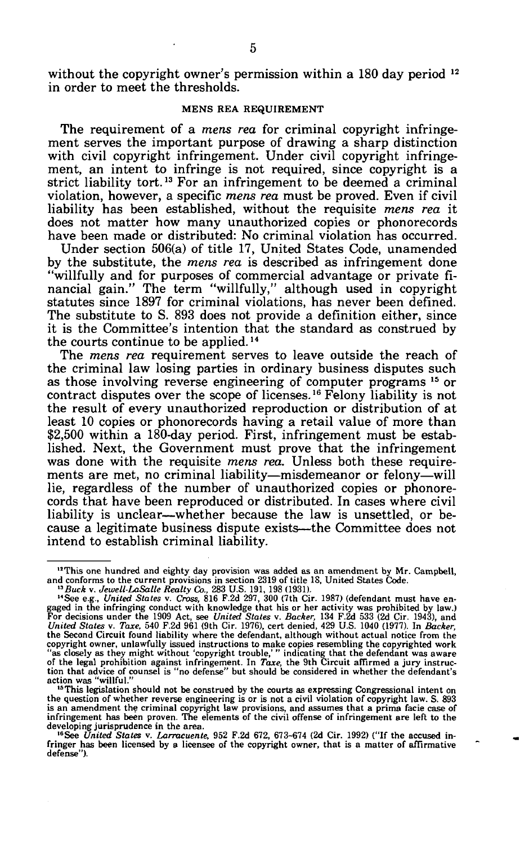without the copyright owner's permission within a 180 day period <sup>12</sup> in order to meet the thresholds.

### **MENS REA REQUIREMENT**

The requirement of a *mens rea* for criminal copyright infringement serves the important purpose of drawing a sharp distinction with civil copyright infringement. Under civil copyright infringement, an intent to infringe is not required, since copyright is a strict liability tort.<sup>13</sup> For an infringement to be deemed a criminal violation, however, a specific *mens rea* must be proved. Even if civil liability has been established, without the requisite *mens rea* it does not matter how many unauthorized copies or phonorecords have been made or distributed: No criminal violation has occurred.

Under section 506(a) of title 17, United States Code, unamended by the substitute, the *mens rea* is described as infringement done "willfully and for purposes of commercial advantage or private financial gain." The term "willfully," although used in copyright statutes since 1897 for criminal violations, has never been defined. The substitute to S. 893 does not provide a definition either, since it is the Committee's intention that the standard as construed by the courts continue to be applied.<sup>14</sup>

The *mens rea* requirement serves to leave outside the reach of the criminal law losing parties in ordinary business disputes such as those involving reverse engineering of computer programs <sup>15</sup> or contract disputes over the scope of licenses.<sup>16</sup> Felony liability is not the result of every unauthorized reproduction or distribution of at least 10 copies or phonorecords having a retail value of more than \$2,500 within a 180-day period. First, infringement must be established. Next, the Government must prove that the infringement was done with the requisite *mens rea.* Unless both these requirements are met, no criminal liability—misdemeanor or felony—will lie, regardless of the number of unauthorized copies or phonorecords that have been reproduced or distributed. In cases where civil liability is unclear—whether because the law is unsettled, or because a legitimate business dispute exists—the Committee does not intend to establish criminal liability.

<sup>&</sup>lt;sup>12</sup>This one hundred and eighty day provision was added as an amendment by Mr. Campbell,<br>and conforms to the current provisions in section 2319 of tiltle 18, United States Code.<br><sup>13</sup>*Buck v. dewell-LaSalle Realty Co.*, 28

is an amendment the criminal copyright law provisions, and assumes that a prima facie case of infringement has been proven. The elements of the civil offense of infringement are left to the developing jurisprudence in the area.

<sup>,6</sup>See *United States* v. *Larracuente,* 952 F.2d 672, 673-674 (2d Cir. 1992) ("If the accused infringer has been licensed by a licensee of the copyright owner, that is a matter of affirmative defense").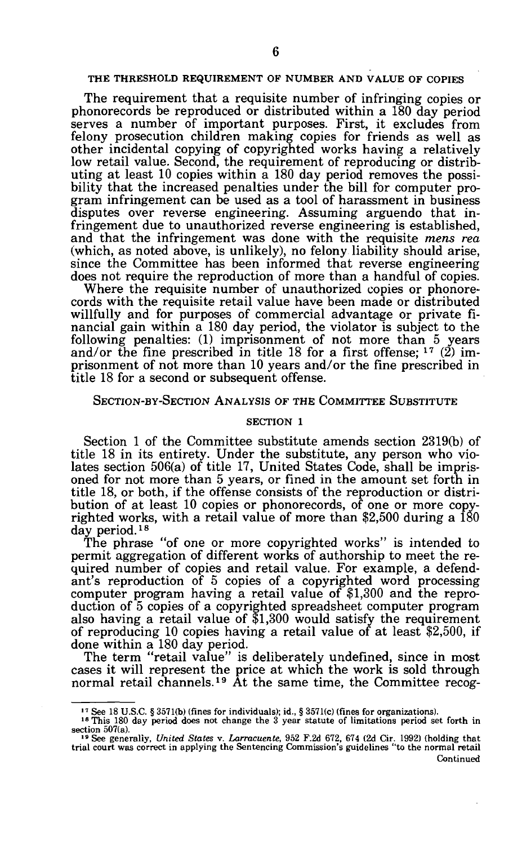#### **THE THRESHOLD REQUIREMENT OF NUMBER AND VALUE OF COPIES**

The requirement that a requisite number of infringing copies or phonorecords be reproduced or distributed within a 180 day period serves a number of important purposes. First, it excludes from felony prosecution children making copies for friends as well as other incidental copying of copyrighted works having a relatively low retail value. Second, the requirement of reproducing or distributing at least 10 copies within a 180 day period removes the possibility that the increased penalties under the bill for computer program infringement can be used as a tool of harassment in business disputes over reverse engineering. Assuming arguendo that infringement due to unauthorized reverse engineering is established, and that the infringement was done with the requisite *mens rea*  (which, as noted above, is unlikely), no felony liability should arise, since the Committee has been informed that reverse engineering does not require the reproduction of more than a handful of copies.

Where the requisite number of unauthorized copies or phonorecords with the requisite retail value have been made or distributed willfully and for purposes of commercial advantage or private financial gain within a 180 day period, the violator is subject to the following penalties: (1) imprisonment of not more than 5 years and/or the fine prescribed in title 18 for a first offense;  $17$  (2) imprisonment of not more than 10 years and/or the fine prescribed in title 18 for a second or subsequent offense.

### SECTION-BY-SECTION ANALYSIS OF THE COMMITTEE SUBSTITUTE

#### SECTION 1

Section 1 of the Committee substitute amends section 2319(b) of title 18 in its entirety. Under the substitute, any person who violates section 506(a) of title 17, United States Code, shall be imprisoned for not more than 5 years, or fined in the amount set forth in title 18, or both, if the offense consists of the reproduction or distribution of at least 10 copies or phonorecords, of one or more copyrighted works, with a retail value of more than \$2,500 during a 180 day period.*<sup>18</sup>*

The phrase "of one or more copyrighted works" is intended to permit aggregation of different works of authorship to meet the required number of copies and retail value. For example, a defendant's reproduction of 5 copies of a copyrighted word processing computer program having a retail value of \$1,300 and the reproduction of 5 copies of a copyrighted spreadsheet computer program also having a retail value of \$1,300 would satisfy the requirement of reproducing 10 copies having a retail value of at least \$2,500, if done within a 180 day period.

The term "retail value" is deliberately undefined, since in most cases it will represent the price at which the work is sold through normal retail channels.<sup>19</sup> At the same time, the Committee recog-

<sup>&</sup>lt;sup>17</sup> See 18 U.S.C. § 3571(b) (fines for individuals); id., § 3571(c) (fines for organizations).<br><sup>18</sup> This 180 day period does not change the 3 year statute of limitations period set forth in section  $507(a)$ .

<sup>&</sup>lt;sup>19</sup> See generally, *United States* v. *Larracuente*, 952 F.2d 672, 674 (2d Cir. 1992) (holding that trial court was correct in applying the Sentencing Commission's guidelines "to the normal retail Continued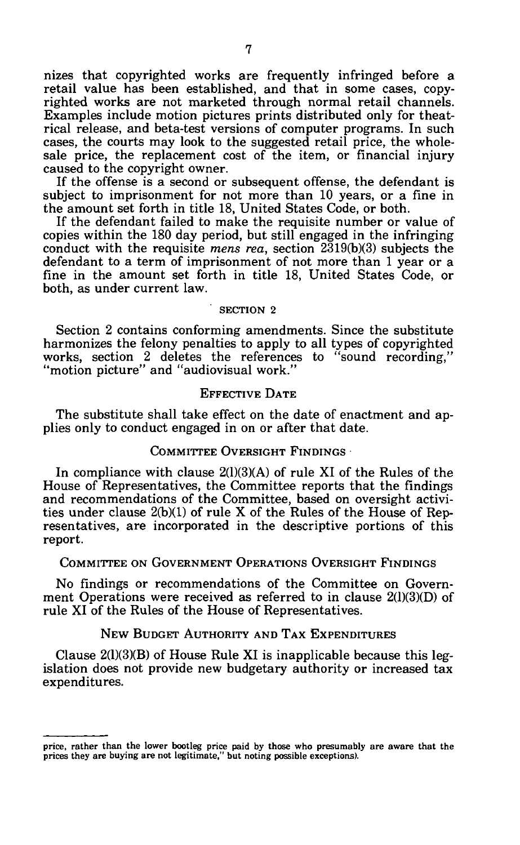nizes that copyrighted works are frequently infringed before a retail value has been established, and that in some cases, copyrighted works are not marketed through normal retail channels. Examples include motion pictures prints distributed only for theatrical release, and beta-test versions of computer programs. In such cases, the courts may look to the suggested retail price, the wholesale price, the replacement cost of the item, or financial injury caused to the copyright owner.

If the offense is a second or subsequent offense, the defendant is subject to imprisonment for not more than 10 years, or a fine in the amount set forth in title 18, United States Code, or both.

If the defendant failed to make the requisite number or value of copies within the 180 day period, but still engaged in the infringing conduct with the requisite *mens rea,* section 2319(b)(3) subjects the defendant to a term of imprisonment of not more than 1 year or a fine in the amount set forth in title 18, United States Code, or both, as under current law.

### SECTION 2

Section 2 contains conforming amendments. Since the substitute harmonizes the felony penalties to apply to all types of copyrighted works, section 2 deletes the references to "sound recording," "motion picture" and "audiovisual work."

# EFFECTIVE DATE

The substitute shall take effect on the date of enactment and applies only to conduct engaged in on or after that date.

### COMMITTEE OVERSIGHT FINDINGS

In compliance with clause 2(1)(3)(A) of rule XI of the Rules of the House of Representatives, the Committee reports that the findings and recommendations of the Committee, based on oversight activities under clause 2(b)(1) of rule X of the Rules of the House of Representatives, are incorporated in the descriptive portions of this report.

### COMMITTEE ON GOVERNMENT OPERATIONS OVERSIGHT FINDINGS

No findings or recommendations of the Committee on Government Operations were received as referred to in clause 2(1)(3)(D) of rule XI of the Rules of the House of Representatives.

### NEW BUDGET AUTHORITY AND TAX EXPENDITURES

Clause  $2(1)(3)(B)$  of House Rule XI is inapplicable because this legislation does not provide new budgetary authority or increased tax expenditures.

price, rather than the lower bootleg price paid by those who presumably are aware that the prices they are buying are not legitimate," but noting possible exceptions).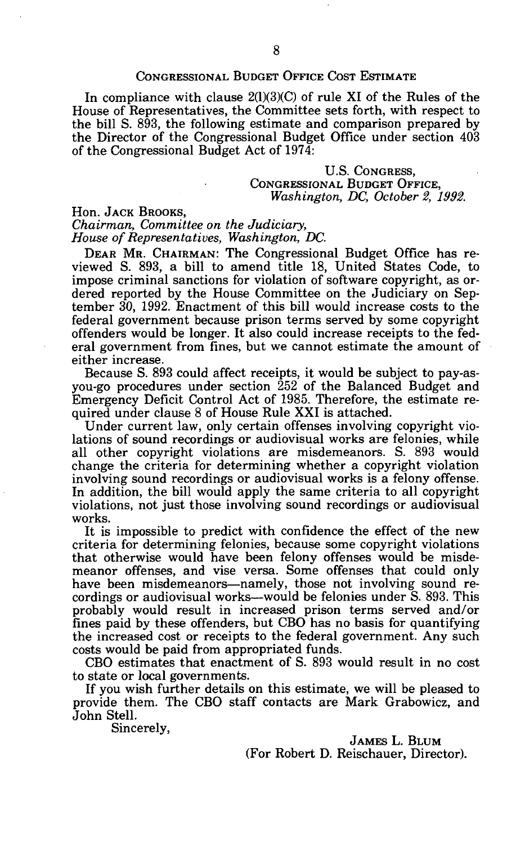# CONGRESSIONAL BUDGET OFFICE COST ESTIMATE

In compliance with clause  $2(1)(3)(C)$  of rule XI of the Rules of the House of Representatives, the Committee sets forth, with respect to the bill S. 893, the following estimate and comparison prepared by the Director of the Congressional Budget Office under section 403 of the Congressional Budget Act of 1974:

# U.S. CONGRESS, CONGRESSIONAL BUDGET OFFICE, *Washington, DC, October 2, 1992.*

# Hon. JACK BROOKS,

*Chairman, Committee on the Judiciary, House of Representatives, Washington, DC.* 

DEAR MR. CHAIRMAN: The Congressional Budget Office has reviewed S. 893, a bill to amend title 18, United States Code, to impose criminal sanctions for violation of software copyright, as ordered reported by the House Committee on the Judiciary on September 30, 1992. Enactment of this bill would increase costs to the federal government because prison terms served by some copyright offenders would be longer. It also could increase receipts to the federal government from fines, but we cannot estimate the amount of either increase.

Because S. 893 could affect receipts, it would be subject to pay-asyou-go procedures under section 252 of the Balanced Budget and Emergency Deficit Control Act of 1985. Therefore, the estimate required under clause 8 of House Rule XXI is attached.

Under current law, only certain offenses involving copyright violations of sound recordings or audiovisual works are felonies, while all other copyright violations are misdemeanors. S. 893 would change the criteria for determining whether a copyright violation involving sound recordings or audiovisual works is a felony offense. In addition, the bill would apply the same criteria to all copyright violations, not just those involving sound recordings or audiovisual works.

It is impossible to predict with confidence the effect of the new criteria for determining felonies, because some copyright violations that otherwise would have been felony offenses would be misdemeanor offenses, and vise versa. Some offenses that could only have been misdemeanors—namely, those not involving sound recordings or audiovisual works—would be felonies under S. 893. This probably would result in increased prison terms served and/or fines paid by these offenders, but CBO has no basis for quantifying the increased cost or receipts to the federal government. Any such costs would be paid from appropriated funds.

CBO estimates that enactment of S. 893 would result in no cost to state or local governments.

If you wish further details on this estimate, we will be pleased to provide them. The CBO staff contacts are Mark Grabowicz, and John Stell.

Sincerely,

JAMES L. BLUM (For Robert D. Reischauer, Director).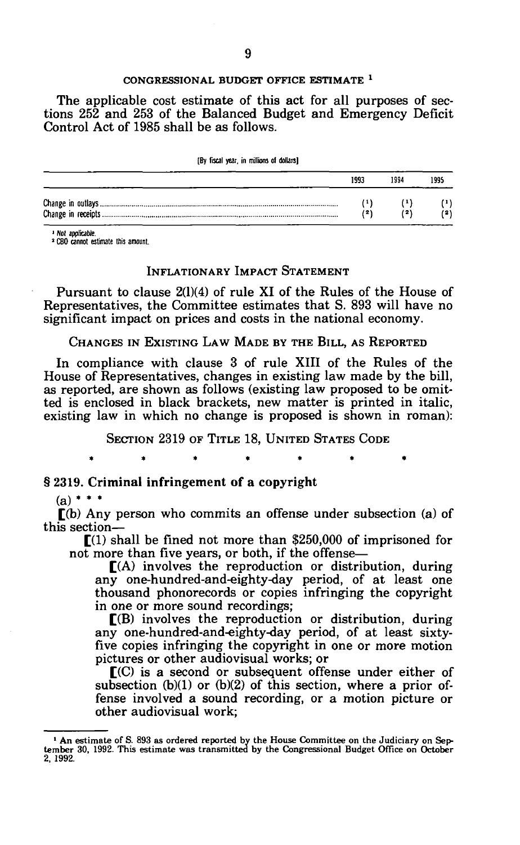#### **CONGRESSIONAL BUDGET OFFICE ESTIMATE**  *1*

The applicable cost estimate of this act for all purposes of sections 252 and 253 of the Balanced Budget and Emergency Deficit Control Act of 1985 shall be as follows.

| [By fiscal year, in millions of dollars] |       |      |      |
|------------------------------------------|-------|------|------|
|                                          | 1993  | 1994 | 1995 |
|                                          | (1)   |      |      |
|                                          | ( 2 ) | (2)  |      |

**1 Not applicable.** 

**2 CBO cannot estimate this amount.** 

# INFLATIONARY IMPACT STATEMENT

Pursuant to clause 2(1)(4) of rule XI of the Rules of the House of Representatives, the Committee estimates that S. 893 will have no significant impact on prices and costs in the national economy.

CHANGES IN EXISTING LAW MADE BY THE BILL, AS REPORTED

In compliance with clause 3 of rule XIII of the Rules of the House of Representatives, changes in existing law made by the bill, as reported, are shown as follows (existing law proposed to be omitted is enclosed in black brackets, new matter is printed in italic, existing law in which no change is proposed is shown in roman):

SECTION 2319 OF TITLE 18, UNITED STATES CODE

 $\bullet$ 

#### § 2319. Criminal infringement of a copyright

٠

# $(a)$  \* \* \*

[(b) Any person who commits an offense under subsection (a) of this section—

 $\Gamma(1)$  shall be fined not more than \$250,000 of imprisoned for  $\overline{\text{not}}$  more than five years, or both, if the offense—

 $[(A)$  involves the reproduction or distribution, during any one-hundred-and-eighty-day period, of at least one thousand phonorecords or copies infringing the copyright in one or more sound recordings;

 $\Gamma(B)$  involves the reproduction or distribution, during any one-hundred-and-eighty-day period, of at least sixtyfive copies infringing the copyright in one or more motion pictures or other audiovisual works; or

 $\Gamma$ (C) is a second or subsequent offense under either of subsection  $(b)(1)$  or  $(b)(2)$  of this section, where a prior offense involved a sound recording, or a motion picture or other audiovisual work;

<sup>1</sup> An estimate of S. 893 as ordered reported by the House Committee on the Judiciary on Sep-tember 30, 1992. This estimate was transmitted by the Congressional Budget Office on October 2, 1992.